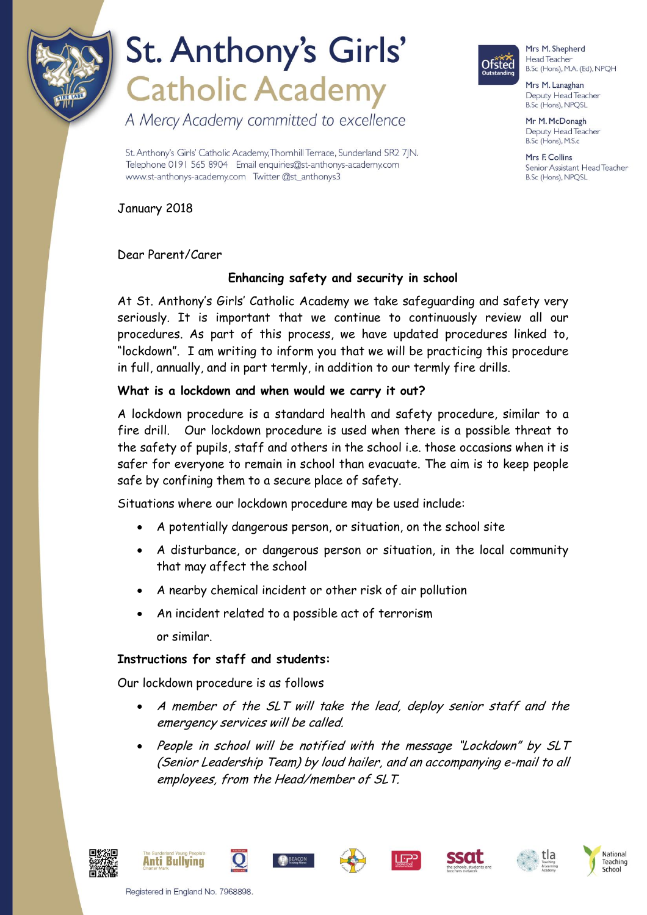

# St. Anthony's Girls' **Catholic Academy**

A Mercy Academy committed to excellence

**Ofsted** 

Mrs M. Shepherd Head Teacher B.Sc (Hons), M.A. (Ed), NPQH

Mrs M. Lanaghan Deputy Head Teacher B.Sc (Hons), NPQSL

Mr M. McDonagh Deputy Head Teacher B.Sc (Hons), M.S.c

Mrs F Collins Senior Assistant Head Teacher B.Sc (Hons), NPQSL

St. Anthony's Girls' Catholic Academy, Thornhill Terrace, Sunderland SR2 7|N. Telephone 0191 565 8904 Email enquiries@st-anthonys-academy.com www.st-anthonys-academy.com Twitter @st\_anthonys3

January 2018

Dear Parent/Carer

### **Enhancing safety and security in school**

At St. Anthony's Girls' Catholic Academy we take safeguarding and safety very seriously. It is important that we continue to continuously review all our procedures. As part of this process, we have updated procedures linked to, "lockdown". I am writing to inform you that we will be practicing this procedure in full, annually, and in part termly, in addition to our termly fire drills.

#### **What is a lockdown and when would we carry it out?**

A lockdown procedure is a standard health and safety procedure, similar to a fire drill. Our lockdown procedure is used when there is a possible threat to the safety of pupils, staff and others in the school i.e. those occasions when it is safer for everyone to remain in school than evacuate. The aim is to keep people safe by confining them to a secure place of safety.

Situations where our lockdown procedure may be used include:

- A potentially dangerous person, or situation, on the school site
- A disturbance, or dangerous person or situation, in the local community that may affect the school
- A nearby chemical incident or other risk of air pollution
- An incident related to a possible act of terrorism or similar.

#### **Instructions for staff and students:**

Our lockdown procedure is as follows

- A member of the SLT will take the lead, deploy senior staff and the emergency services will be called.
- People in school will be notified with the message "Lockdown" by SLT (Senior Leadership Team) by loud hailer, and an accompanying e-mail to all employees, from the Head/member of SLT.













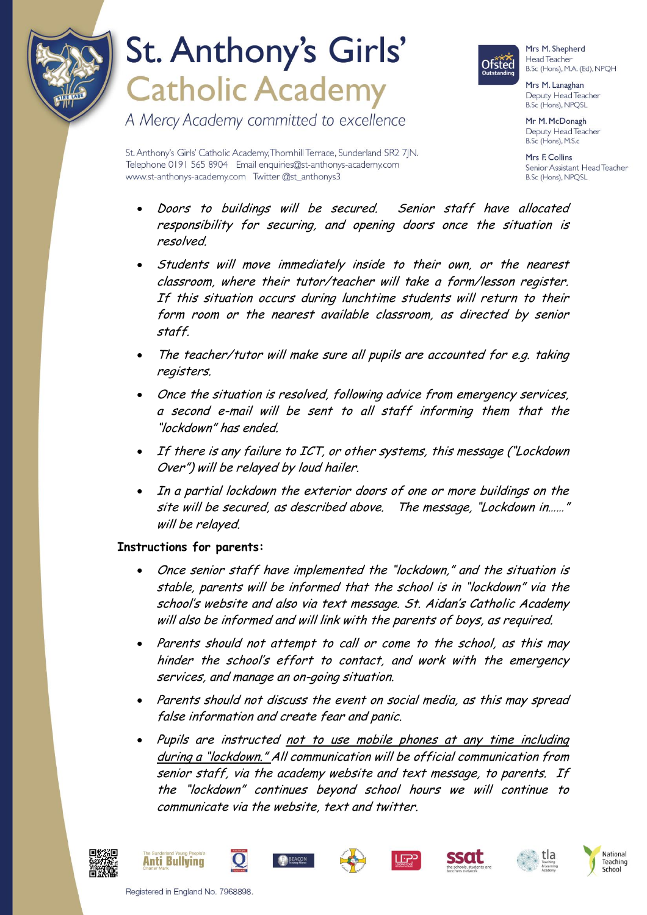

### St. Anthony's Girls' **Catholic Academy**

A Mercy Academy committed to excellence



Mrs M. Shepherd Head Teacher B.Sc (Hons), M.A. (Ed), NPQH

Mrs M. Lanaghan Deputy Head Teacher B.Sc (Hons), NPQSL

Mr M. McDonagh Deputy Head Teacher B.Sc (Hons), M.S.c

Mrs E Collins Senior Assistant Head Teacher B.Sc (Hons), NPQSL

St. Anthony's Girls' Catholic Academy, Thornhill Terrace, Sunderland SR2 7|N. Telephone 0191 565 8904 Email enquiries@st-anthonys-academy.com www.st-anthonys-academy.com Twitter @st\_anthonys3

- Doors to buildings will be secured. Senior staff have allocated responsibility for securing, and opening doors once the situation is resolved.
- Students will move immediately inside to their own, or the nearest classroom, where their tutor/teacher will take a form/lesson register. If this situation occurs during lunchtime students will return to their form room or the nearest available classroom, as directed by senior staff.
- The teacher/tutor will make sure all pupils are accounted for e.g. taking registers.
- Once the situation is resolved, following advice from emergency services, a second e-mail will be sent to all staff informing them that the "lockdown" has ended.
- If there is any failure to ICT, or other systems, this message ("Lockdown Over") will be relayed by loud hailer.
- In a partial lockdown the exterior doors of one or more buildings on the site will be secured, as described above. The message, "Lockdown in……" will be relayed.

#### **Instructions for parents:**

- Once senior staff have implemented the "lockdown," and the situation is stable, parents will be informed that the school is in "lockdown" via the school's website and also via text message. St. Aidan's Catholic Academy will also be informed and will link with the parents of boys, as required.
- Parents should not attempt to call or come to the school, as this may hinder the school's effort to contact, and work with the emergency services, and manage an on-going situation.
- Parents should not discuss the event on social media, as this may spread false information and create fear and panic.
- Pupils are instructed not to use mobile phones at any time including during a "lockdown." All communication will be official communication from senior staff, via the academy website and text message, to parents. If the "lockdown" continues beyond school hours we will continue to communicate via the website, text and twitter.